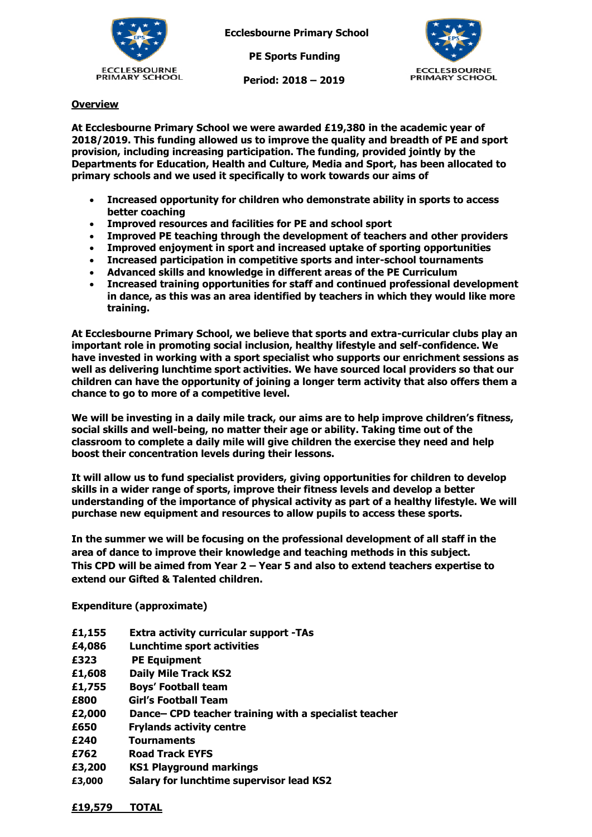

**Ecclesbourne Primary School**

 **PE Sports Funding**

 **Period: 2018 – 2019**



## **Overview**

**At Ecclesbourne Primary School we were awarded £19,380 in the academic year of 2018/2019. This funding allowed us to improve the quality and breadth of PE and sport provision, including increasing participation. The funding, provided jointly by the Departments for Education, Health and Culture, Media and Sport, has been allocated to primary schools and we used it specifically to work towards our aims of** 

- **Increased opportunity for children who demonstrate ability in sports to access better coaching**
- **Improved resources and facilities for PE and school sport**
- **Improved PE teaching through the development of teachers and other providers**
- **Improved enjoyment in sport and increased uptake of sporting opportunities**
- **Increased participation in competitive sports and inter-school tournaments**
- **Advanced skills and knowledge in different areas of the PE Curriculum**
- **Increased training opportunities for staff and continued professional development in dance, as this was an area identified by teachers in which they would like more training.**

**At Ecclesbourne Primary School, we believe that sports and extra-curricular clubs play an important role in promoting social inclusion, healthy lifestyle and self-confidence. We have invested in working with a sport specialist who supports our enrichment sessions as well as delivering lunchtime sport activities. We have sourced local providers so that our children can have the opportunity of joining a longer term activity that also offers them a chance to go to more of a competitive level.** 

**We will be investing in a daily mile track, our aims are to help improve children's fitness, social skills and well-being, no matter their age or ability. Taking time out of the classroom to complete a daily mile will give children the exercise they need and help boost their concentration levels during their lessons.**

**It will allow us to fund specialist providers, giving opportunities for children to develop skills in a wider range of sports, improve their fitness levels and develop a better understanding of the importance of physical activity as part of a healthy lifestyle. We will purchase new equipment and resources to allow pupils to access these sports.**

**In the summer we will be focusing on the professional development of all staff in the area of dance to improve their knowledge and teaching methods in this subject. This CPD will be aimed from Year 2 – Year 5 and also to extend teachers expertise to extend our Gifted & Talented children.** 

**Expenditure (approximate)**

| £1,155 | <b>Extra activity curricular support -TAs</b>         |
|--------|-------------------------------------------------------|
| £4,086 | <b>Lunchtime sport activities</b>                     |
| £323   | <b>PE Equipment</b>                                   |
| £1,608 | <b>Daily Mile Track KS2</b>                           |
| £1,755 | <b>Boys' Football team</b>                            |
| £800   | Girl's Football Team                                  |
| £2,000 | Dance– CPD teacher training with a specialist teacher |
| £650   | <b>Frylands activity centre</b>                       |
| £240   | <b>Tournaments</b>                                    |
| £762   | <b>Road Track EYFS</b>                                |
| £3,200 | <b>KS1 Playground markings</b>                        |
| £3,000 | <b>Salary for lunchtime supervisor lead KS2</b>       |

**£19,579 TOTAL**